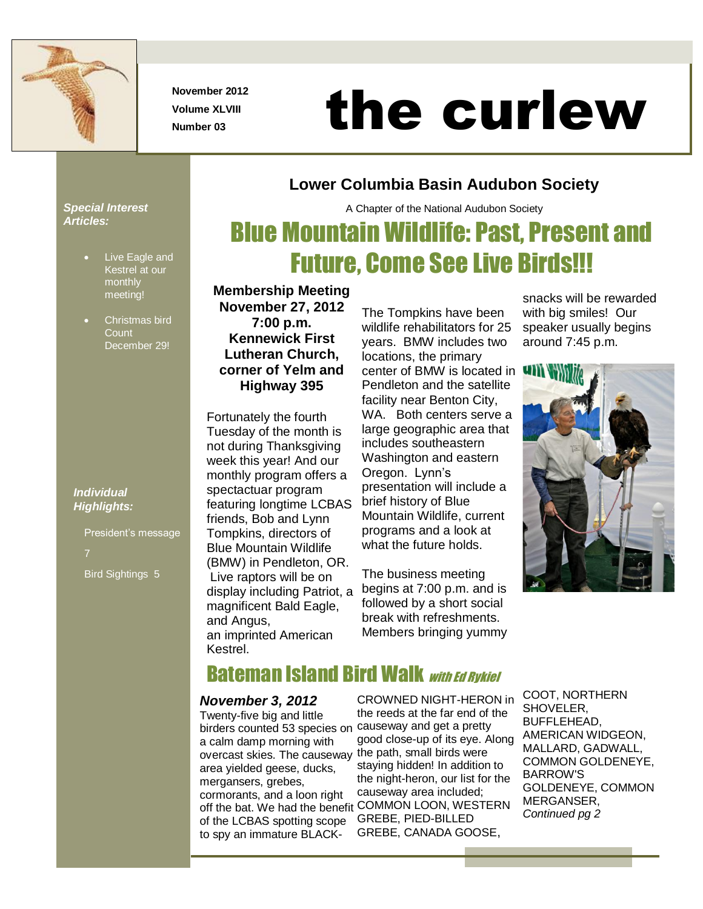

**November 2012 Volume XLVIII**

# November 2012<br>Number 03 **the curlew**

**Lower Columbia Basin Audubon Society**

A Chapter of the National Audubon Society

Blue Mountain Wildlife: Past, Present and

Future, Come See Live Birds!!!

#### *Special Interest Articles:*

- Live Eagle and Kestrel at our monthly meeting!
- Christmas bird **Count** December 29!

*Individual Highlights:*

> President's message Bird Sightings 5

**Membership Meeting November 27, 2012 7:00 p.m. Kennewick First Lutheran Church, corner of Yelm and Highway 395**

Fortunately the fourth Tuesday of the month is not during Thanksgiving week this year! And our monthly program offers a spectactuar program featuring longtime LCBAS friends, Bob and Lynn Tompkins, directors of Blue Mountain Wildlife (BMW) in Pendleton, OR. Live raptors will be on display including Patriot, a magnificent Bald Eagle, and Angus, an imprinted American Kestrel.

The Tompkins have been wildlife rehabilitators for 25 years. BMW includes two locations, the primary center of BMW is located in Pendleton and the satellite facility near Benton City, WA. Both centers serve a large geographic area that includes southeastern Washington and eastern Oregon. Lynn's presentation will include a brief history of Blue Mountain Wildlife, current programs and a look at what the future holds.

The business meeting begins at 7:00 p.m. and is followed by a short social break with refreshments. Members bringing yummy snacks will be rewarded with big smiles! Our speaker usually begins around 7:45 p.m.



# **Bateman Island Bird Walk with Ed Rykiel**

#### *November 3, 2012*

Twenty-five big and little birders counted 53 species on a calm damp morning with overcast skies. The causeway area yielded geese, ducks, mergansers, grebes, cormorants, and a loon right of the LCBAS spotting scope to spy an immature BLACK-

off the bat. We had the benefit COMMON LOON, WESTERN CROWNED NIGHT-HERON in the reeds at the far end of the causeway and get a pretty good close-up of its eye. Along the path, small birds were staying hidden! In addition to the night-heron, our list for the causeway area included; GREBE, PIED-BILLED GREBE, CANADA GOOSE,

COOT, NORTHERN SHOVELER, BUFFLEHEAD, AMERICAN WIDGEON, MALLARD, GADWALL, COMMON GOLDENEYE, BARROW'S GOLDENEYE, COMMON MERGANSER, *Continued pg 2*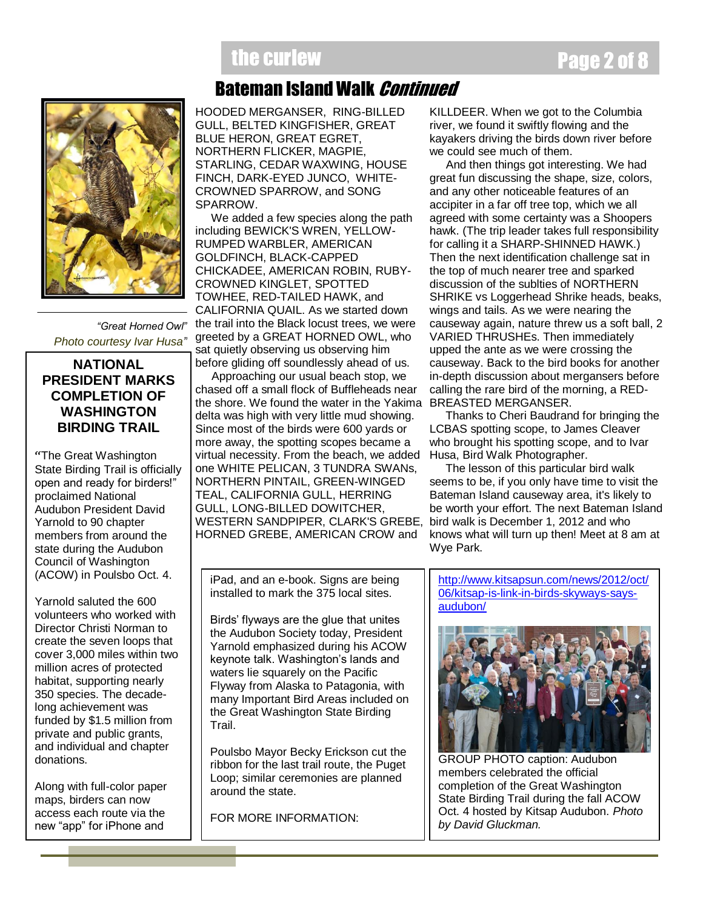# the curlew **Page 2 of 8**

# Bateman Island Walk Continued

HOODED MERGANSER, RING-BILLED GULL, BELTED KINGFISHER, GREAT BLUE HERON, GREAT EGRET, NORTHERN FLICKER, MAGPIE, STARLING, CEDAR WAXWING, HOUSE FINCH, DARK-EYED JUNCO, WHITE-CROWNED SPARROW, and SONG SPARROW.

 We added a few species along the path including BEWICK'S WREN, YELLOW-RUMPED WARBLER, AMERICAN GOLDFINCH, BLACK-CAPPED CHICKADEE, AMERICAN ROBIN, RUBY-CROWNED KINGLET, SPOTTED TOWHEE, RED-TAILED HAWK, and CALIFORNIA QUAIL. As we started down the trail into the Black locust trees, we were greeted by a GREAT HORNED OWL, who sat quietly observing us observing him before gliding off soundlessly ahead of us.

 Approaching our usual beach stop, we chased off a small flock of Buffleheads near the shore. We found the water in the Yakima delta was high with very little mud showing. Since most of the birds were 600 yards or more away, the spotting scopes became a virtual necessity. From the beach, we added one WHITE PELICAN, 3 TUNDRA SWANs, NORTHERN PINTAIL, GREEN-WINGED TEAL, CALIFORNIA GULL, HERRING GULL, LONG-BILLED DOWITCHER, WESTERN SANDPIPER, CLARK'S GREBE, HORNED GREBE, AMERICAN CROW and

KILLDEER. When we got to the Columbia river, we found it swiftly flowing and the kayakers driving the birds down river before we could see much of them.

 And then things got interesting. We had great fun discussing the shape, size, colors, and any other noticeable features of an accipiter in a far off tree top, which we all agreed with some certainty was a Shoopers hawk. (The trip leader takes full responsibility for calling it a SHARP-SHINNED HAWK.) Then the next identification challenge sat in the top of much nearer tree and sparked discussion of the sublties of NORTHERN SHRIKE vs Loggerhead Shrike heads, beaks, wings and tails. As we were nearing the causeway again, nature threw us a soft ball, 2 VARIED THRUSHEs. Then immediately upped the ante as we were crossing the causeway. Back to the bird books for another in-depth discussion about mergansers before calling the rare bird of the morning, a RED-BREASTED MERGANSER.

 Thanks to Cheri Baudrand for bringing the LCBAS spotting scope, to James Cleaver who brought his spotting scope, and to Ivar Husa, Bird Walk Photographer.

 The lesson of this particular bird walk seems to be, if you only have time to visit the Bateman Island causeway area, it's likely to be worth your effort. The next Bateman Island bird walk is December 1, 2012 and who knows what will turn up then! Meet at 8 am at Wye Park.

iPad, and an e-book. Signs are being installed to mark the 375 local sites.

Birds' flyways are the glue that unites the Audubon Society today, President Yarnold emphasized during his ACOW keynote talk. Washington's lands and waters lie squarely on the Pacific Flyway from Alaska to Patagonia, with many Important Bird Areas included on the Great Washington State Birding **Trail** 

Poulsbo Mayor Becky Erickson cut the ribbon for the last trail route, the Puget Loop; similar ceremonies are planned around the state.

FOR MORE INFORMATION:

[http://www.kitsapsun.com/news/2012/oct/](http://www.kitsapsun.com/news/2012/oct/06/kitsap-is-link-in-birds-skyways-says-audubon/) [06/kitsap-is-link-in-birds-skyways-says](http://www.kitsapsun.com/news/2012/oct/06/kitsap-is-link-in-birds-skyways-says-audubon/)[audubon/](http://www.kitsapsun.com/news/2012/oct/06/kitsap-is-link-in-birds-skyways-says-audubon/)



GROUP PHOTO caption: Audubon members celebrated the official completion of the Great Washington State Birding Trail during the fall ACOW Oct. 4 hosted by Kitsap Audubon. *Photo by David Gluckman.*



*"Great Horned Owl" Photo courtesy Ivar Husa"*

#### **NATIONAL PRESIDENT MARKS COMPLETION OF WASHINGTON BIRDING TRAIL**

"The Great Washington State Birding Trail is officially open and ready for birders!" proclaimed National Audubon President David Yarnold to 90 chapter members from around the state during the Audubon Council of Washington (ACOW) in Poulsbo Oct. 4.

Yarnold saluted the 600 volunteers who worked with Director Christi Norman to create the seven loops that cover 3,000 miles within two million acres of protected habitat, supporting nearly 350 species. The decadelong achievement was funded by \$1.5 million from private and public grants, and individual and chapter donations.

Along with full-color paper maps, birders can now access each route via the new "app" for iPhone and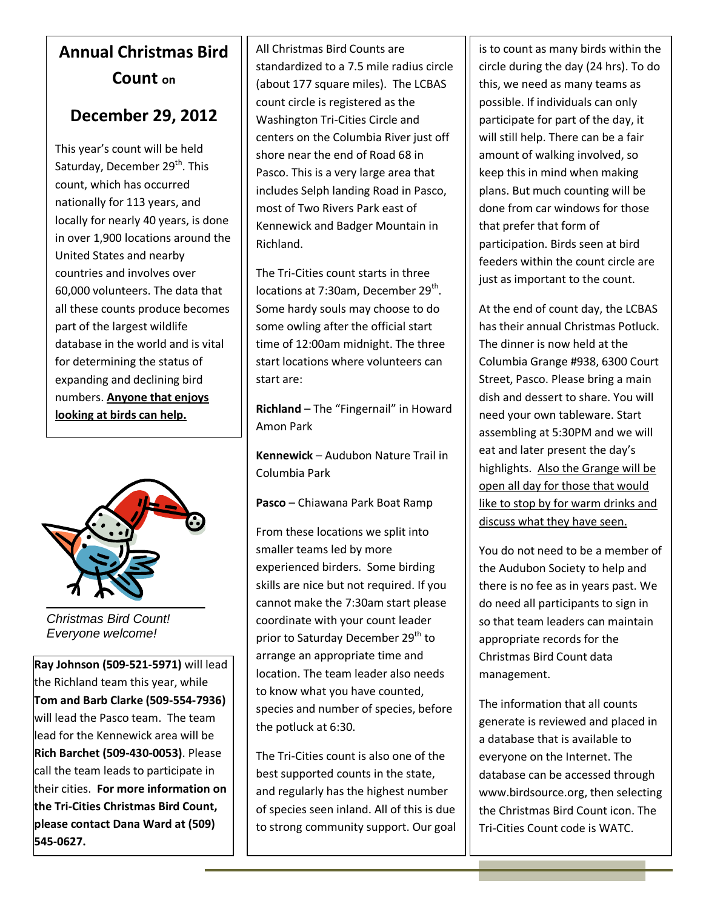# **Annual Christmas Bird Count on**

### **December 29, 2012**

This year's count will be held Saturday, December 29<sup>th</sup>. This count, which has occurred nationally for 113 years, and locally for nearly 40 years, is done in over 1,900 locations around the United States and nearby countries and involves over 60,000 volunteers. The data that all these counts produce becomes part of the largest wildlife database in the world and is vital for determining the status of expanding and declining bird numbers. **Anyone that enjoys looking at birds can help.**



*Christmas Bird Count! Everyone welcome!*

**Ray Johnson (509-521-5971)** will lead the Richland team this year, while **Tom and Barb Clarke (509-554-7936)**  will lead the Pasco team. The team lead for the Kennewick area will be **Rich Barchet (509-430-0053)**. Please call the team leads to participate in their cities. **For more information on the Tri-Cities Christmas Bird Count, please contact Dana Ward at (509) 545-0627.**

All Christmas Bird Counts are standardized to a 7.5 mile radius circle (about 177 square miles). The LCBAS count circle is registered as the Washington Tri-Cities Circle and centers on the Columbia River just off shore near the end of Road 68 in Pasco. This is a very large area that includes Selph landing Road in Pasco, most of Two Rivers Park east of Kennewick and Badger Mountain in Richland.

The Tri-Cities count starts in three locations at 7:30am, December 29<sup>th</sup>. Some hardy souls may choose to do some owling after the official start time of 12:00am midnight. The three start locations where volunteers can start are:

**Richland** – The "Fingernail" in Howard Amon Park

**Kennewick** – Audubon Nature Trail in Columbia Park

**Pasco** – Chiawana Park Boat Ramp

From these locations we split into smaller teams led by more experienced birders. Some birding skills are nice but not required. If you cannot make the 7:30am start please coordinate with your count leader prior to Saturday December 29<sup>th</sup> to arrange an appropriate time and location. The team leader also needs to know what you have counted, species and number of species, before the potluck at 6:30.

The Tri-Cities count is also one of the best supported counts in the state, and regularly has the highest number of species seen inland. All of this is due to strong community support. Our goal

is to count as many birds within the circle during the day (24 hrs). To do this, we need as many teams as possible. If individuals can only participate for part of the day, it will still help. There can be a fair amount of walking involved, so keep this in mind when making plans. But much counting will be done from car windows for those that prefer that form of participation. Birds seen at bird feeders within the count circle are just as important to the count.

At the end of count day, the LCBAS has their annual Christmas Potluck. The dinner is now held at the Columbia Grange #938, 6300 Court Street, Pasco. Please bring a main dish and dessert to share. You will need your own tableware. Start assembling at 5:30PM and we will eat and later present the day's highlights. Also the Grange will be open all day for those that would like to stop by for warm drinks and discuss what they have seen.

You do not need to be a member of the Audubon Society to help and there is no fee as in years past. We do need all participants to sign in so that team leaders can maintain appropriate records for the Christmas Bird Count data management.

The information that all counts generate is reviewed and placed in a database that is available to everyone on the Internet. The database can be accessed through www.birdsource.org, then selecting the Christmas Bird Count icon. The Tri-Cities Count code is WATC.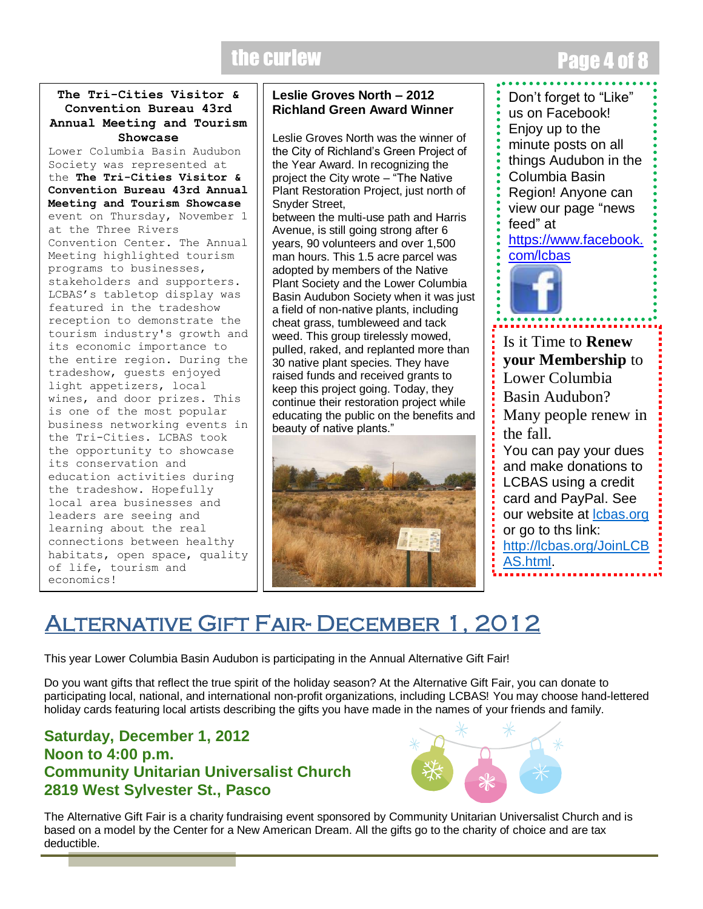# the curlew **Page 4 of 8 and 8 and 8 and 8 and 8 and 8 and 8 and 8 and 8 and 8 and 8 and 8 and 8 and 8 and 8 and 8 and 8 and 8 and 8 and 8 and 8 and 8 and 8 and 8 and 8 and 8 and 8 and 8 and 8 and 8 and 8 and 8 and 8 and 8**

#### **The Tri-Cities Visitor & Convention Bureau 43rd Annual Meeting and Tourism Showcase**

Lower Columbia Basin Audubon Society was represented at the **The Tri-Cities Visitor & Convention Bureau 43rd Annual Meeting and Tourism Showcase**  event on Thursday, November 1 at the Three Rivers Convention Center. The Annual Meeting highlighted tourism programs to businesses, stakeholders and supporters. LCBAS's tabletop display was featured in the tradeshow reception to demonstrate the tourism industry's growth and its economic importance to the entire region. During the tradeshow, guests enjoyed light appetizers, local wines, and door prizes. This is one of the most popular business networking events in the Tri-Cities. LCBAS took the opportunity to showcase its conservation and education activities during the tradeshow. Hopefully local area businesses and leaders are seeing and learning about the real connections between healthy habitats, open space, quality of life, tourism and economics!

#### **Leslie Groves North – 2012 Richland Green Award Winner**

Leslie Groves North was the winner of the City of Richland's Green Project of the Year Award. In recognizing the project the City wrote – "The Native Plant Restoration Project, just north of Snyder Street, between the multi-use path and Harris Avenue, is still going strong after 6 years, 90 volunteers and over 1,500 man hours. This 1.5 acre parcel was adopted by members of the Native Plant Society and the Lower Columbia Basin Audubon Society when it was just a field of non-native plants, including cheat grass, tumbleweed and tack weed. This group tirelessly mowed, pulled, raked, and replanted more than 30 native plant species. They have raised funds and received grants to keep this project going. Today, they continue their restoration project while educating the public on the benefits and beauty of native plants."



Don't forget to "Like" us on Facebook! Enjoy up to the minute posts on all things Audubon in the Columbia Basin Region! Anyone can view our page "news feed" at [https://www.facebook.](https://www.facebook.com/lcbas) [com/lcbas](https://www.facebook.com/lcbas)



Is it Time to **Renew your Membership** to Lower Columbia Basin Audubon? Many people renew in the fall. You can pay your dues and make donations to LCBAS using a credit card and PayPal. See our website at **Icbas.org** or go to ths link: [http://lcbas.org/JoinLCB](http://lcbas.org/JoinLCBAS.html) [AS.html.](http://lcbas.org/JoinLCBAS.html)

# Alternative Gift Fair- December 1, 2012

This year Lower Columbia Basin Audubon is participating in the Annual Alternative Gift Fair!

Do you want gifts that reflect the true spirit of the holiday season? At the Alternative Gift Fair, you can donate to participating local, national, and international non-profit organizations, including LCBAS! You may choose hand-lettered holiday cards featuring local artists describing the gifts you have made in the names of your friends and family.

#### **Saturday, December 1, 2012 Noon to 4:00 p.m. Community Unitarian Universalist Church 2819 West Sylvester St., Pasco**



The Alternative Gift Fair is a charity fundraising event sponsored by Community Unitarian Universalist Church and is based on a model by the Center for a New American Dream. All the gifts go to the charity of choice and are tax deductible.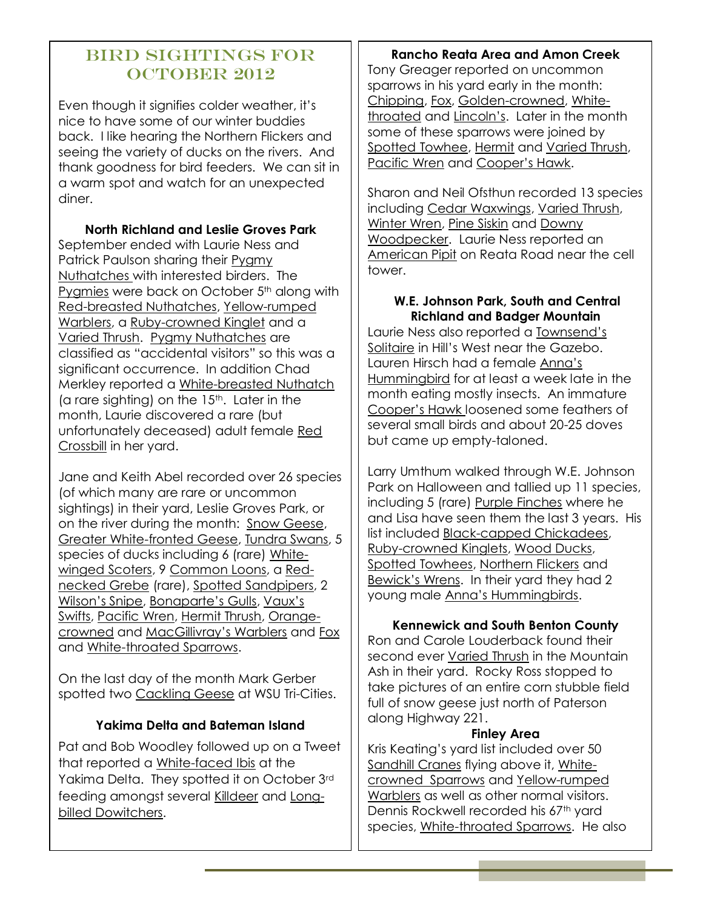#### Bird Sightings for OCTOBER 2012

Even though it signifies colder weather, it's nice to have some of our winter buddies back. I like hearing the Northern Flickers and seeing the variety of ducks on the rivers. And thank goodness for bird feeders. We can sit in a warm spot and watch for an unexpected diner.

**North Richland and Leslie Groves Park** September ended with Laurie Ness and Patrick Paulson sharing their Pygmy Nuthatches with interested birders. The Pyamies were back on October 5<sup>th</sup> along with Red-breasted Nuthatches, Yellow-rumped Warblers, a Ruby-crowned Kinglet and a Varied Thrush. Pygmy Nuthatches are classified as "accidental visitors" so this was a significant occurrence. In addition Chad Merkley reported a White-breasted Nuthatch (a rare sighting) on the 15<sup>th</sup>. Later in the month, Laurie discovered a rare (but unfortunately deceased) adult female Red Crossbill in her yard.

Jane and Keith Abel recorded over 26 species (of which many are rare or uncommon sightings) in their yard, Leslie Groves Park, or on the river during the month: Snow Geese, Greater White-fronted Geese, Tundra Swans, 5 species of ducks including 6 (rare) Whitewinged Scoters, 9 Common Loons, a Rednecked Grebe (rare), Spotted Sandpipers, 2 Wilson's Snipe, Bonaparte's Gulls, Vaux's Swifts, Pacific Wren, Hermit Thrush, Orangecrowned and MacGillivray's Warblers and Fox and White-throated Sparrows.

On the last day of the month Mark Gerber spotted two Cackling Geese at WSU Tri-Cities.

#### **Yakima Delta and Bateman Island**

Pat and Bob Woodley followed up on a Tweet that reported a White-faced Ibis at the Yakima Delta. They spotted it on October 3rd feeding amongst several Killdeer and Longbilled Dowitchers.

#### **Rancho Reata Area and Amon Creek**

Tony Greager reported on uncommon sparrows in his yard early in the month: Chipping, Fox, Golden-crowned, Whitethroated and Lincoln's. Later in the month some of these sparrows were joined by Spotted Towhee, Hermit and Varied Thrush, Pacific Wren and Cooper's Hawk.

Sharon and Neil Ofsthun recorded 13 species including Cedar Waxwings, Varied Thrush, Winter Wren, Pine Siskin and Downy Woodpecker. Laurie Ness reported an American Pipit on Reata Road near the cell tower.

#### **W.E. Johnson Park, South and Central Richland and Badger Mountain**

Laurie Ness also reported a Townsend's Solitaire in Hill's West near the Gazebo. Lauren Hirsch had a female Anna's Hummingbird for at least a week late in the month eating mostly insects. An immature Cooper's Hawk loosened some feathers of several small birds and about 20-25 doves but came up empty-taloned.

Larry Umthum walked through W.E. Johnson Park on Halloween and tallied up 11 species, including 5 (rare) Purple Finches where he and Lisa have seen them the last 3 years. His list included Black-capped Chickadees, Ruby-crowned Kinglets, Wood Ducks, Spotted Towhees, Northern Flickers and Bewick's Wrens. In their yard they had 2 young male Anna's Hummingbirds.

#### **Kennewick and South Benton County**

Ron and Carole Louderback found their second ever Varied Thrush in the Mountain Ash in their yard. Rocky Ross stopped to take pictures of an entire corn stubble field full of snow geese just north of Paterson along Highway 221.

#### **Finley Area**

Kris Keating's yard list included over 50 Sandhill Cranes flying above it, Whitecrowned Sparrows and Yellow-rumped Warblers as well as other normal visitors. Dennis Rockwell recorded his 67<sup>th</sup> yard species, White-throated Sparrows. He also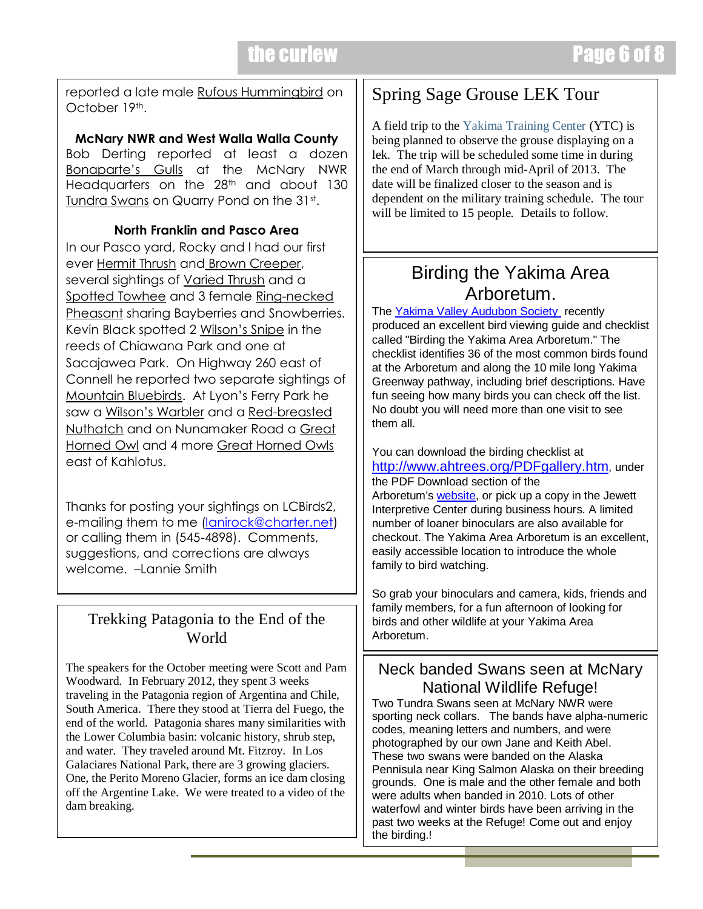$\overline{\phantom{0}}$ 

reported a late male Rufous Hummingbird on October 19th.

**McNary NWR and West Walla Walla County** Bob Derting reported at least a dozen Bonaparte's Gulls at the McNary NWR Headquarters on the 28<sup>th</sup> and about 130 Tundra Swans on Quarry Pond on the 31st.

#### **North Franklin and Pasco Area**

In our Pasco yard, Rocky and I had our first ever Hermit Thrush and Brown Creeper, several sightings of Varied Thrush and a Spotted Towhee and 3 female Ring-necked Pheasant sharing Bayberries and Snowberries. Kevin Black spotted 2 Wilson's Snipe in the reeds of Chiawana Park and one at Sacajawea Park. On Highway 260 east of Connell he reported two separate sightings of Mountain Bluebirds. At Lyon's Ferry Park he saw a Wilson's Warbler and a Red-breasted Nuthatch and on Nunamaker Road a Great Horned Owl and 4 more Great Horned Owls east of Kahlotus.

Thanks for posting your sightings on LCBirds2, e-mailing them to me [\(lanirock@charter.net\)](mailto:lanirock@charter.net) or calling them in (545-4898). Comments, suggestions, and corrections are always welcome. –Lannie Smith

#### Trekking Patagonia to the End of the World

The speakers for the October meeting were Scott and Pam Woodward. In February 2012, they spent 3 weeks traveling in the Patagonia region of Argentina and Chile, South America. There they stood at Tierra del Fuego, the end of the world. Patagonia shares many similarities with the Lower Columbia basin: volcanic history, shrub step, and water. They traveled around Mt. Fitzroy. In Los Galaciares National Park, there are 3 growing glaciers. One, the Perito Moreno Glacier, forms an ice dam closing off the Argentine Lake. We were treated to a video of the dam breaking.

### Spring Sage Grouse LEK Tour

A field trip to the Yakima Training Center (YTC) is being planned to observe the grouse displaying on a lek. The trip will be scheduled some time in during the end of March through mid-April of 2013. The date will be finalized closer to the season and is dependent on the military training schedule. The tour will be limited to 15 people. Details to follow.

# Birding the Yakima Area Arboretum.

The [Yakima Valley Audubon Society](http://www.yakimaaudubon.org/) recently produced an excellent bird viewing guide and checklist called "Birding the Yakima Area Arboretum." The checklist identifies 36 of the most common birds found at the Arboretum and along the 10 mile long Yakima Greenway pathway, including brief descriptions. Have fun seeing how many birds you can check off the list. No doubt you will need more than one visit to see them all.

You can download the birding checklist at <http://www.ahtrees.org/PDFgallery.htm>, under

the PDF Download section of the Arboretum's [website,](http://r20.rs6.net/tn.jsp?e=0011uk_LVtgDTRLzDxXKJsk4nfZ98sHeAvvOEvvaWL8NHaRfsTXwtv1vsqJ64mtNpOg7ePhv5EpRH2AHqnoW9pfNwUh6-ApLDNyZsEs-xYi2htKFLh00Vm6Qa1cbAQyyyR5) or pick up a copy in the Jewett Interpretive Center during business hours. A limited number of loaner binoculars are also available for checkout. The Yakima Area Arboretum is an excellent, easily accessible location to introduce the whole family to bird watching.

So grab your binoculars and camera, kids, friends and family members, for a fun afternoon of looking for birds and other wildlife at your Yakima Area Arboretum.

#### Neck banded Swans seen at McNary National Wildlife Refuge!

Two Tundra Swans seen at McNary NWR were sporting neck collars. The bands have alpha-numeric codes, meaning letters and numbers, and were photographed by our own Jane and Keith Abel. These two swans were banded on the Alaska Pennisula near King Salmon Alaska on their breeding grounds. One is male and the other female and both were adults when banded in 2010. Lots of other waterfowl and winter birds have been arriving in the past two weeks at the Refuge! Come out and enjoy the birding.!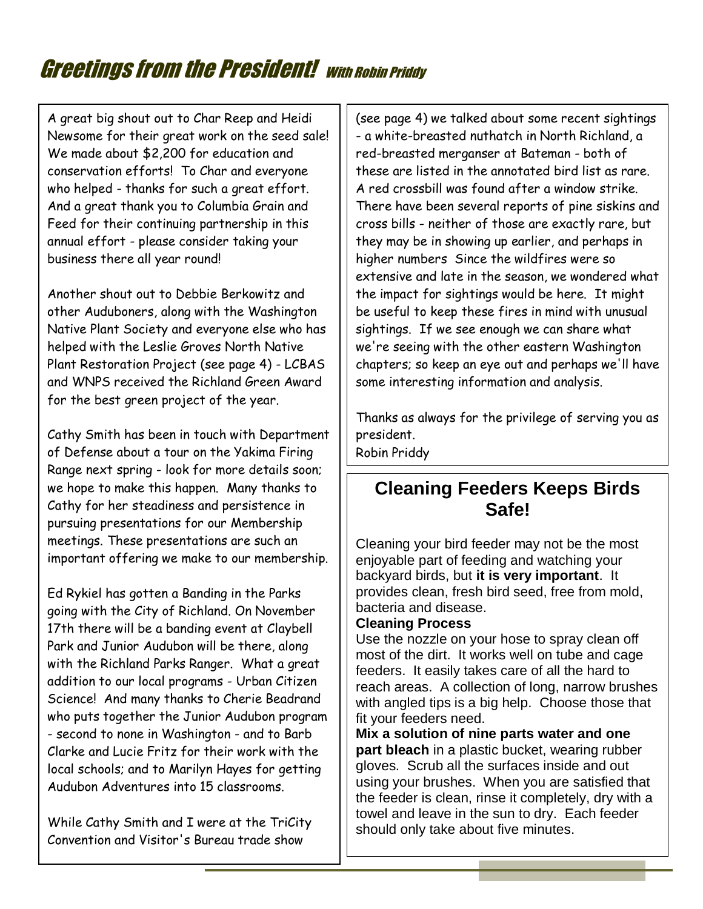# **Greetings from the President!** With Robin Priddy

A great big shout out to Char Reep and Heidi Newsome for their great work on the seed sale! We made about \$2,200 for education and conservation efforts! To Char and everyone who helped - thanks for such a great effort. And a great thank you to Columbia Grain and Feed for their continuing partnership in this annual effort - please consider taking your business there all year round!

Another shout out to Debbie Berkowitz and other Auduboners, along with the Washington Native Plant Society and everyone else who has helped with the Leslie Groves North Native Plant Restoration Project (see page 4) - LCBAS and WNPS received the Richland Green Award for the best green project of the year.

Cathy Smith has been in touch with Department of Defense about a tour on the Yakima Firing Range next spring - look for more details soon; we hope to make this happen. Many thanks to Cathy for her steadiness and persistence in pursuing presentations for our Membership meetings. These presentations are such an important offering we make to our membership.

Ed Rykiel has gotten a Banding in the Parks going with the City of Richland. On November 17th there will be a banding event at Claybell Park and Junior Audubon will be there, along with the Richland Parks Ranger. What a great addition to our local programs - Urban Citizen Science! And many thanks to Cherie Beadrand who puts together the Junior Audubon program - second to none in Washington - and to Barb Clarke and Lucie Fritz for their work with the local schools; and to Marilyn Hayes for getting Audubon Adventures into 15 classrooms.

While Cathy Smith and I were at the TriCity Convention and Visitor's Bureau trade show

(see page 4) we talked about some recent sightings - a white-breasted nuthatch in North Richland, a red-breasted merganser at Bateman - both of these are listed in the annotated bird list as rare. A red crossbill was found after a window strike. There have been several reports of pine siskins and cross bills - neither of those are exactly rare, but they may be in showing up earlier, and perhaps in higher numbers Since the wildfires were so extensive and late in the season, we wondered what the impact for sightings would be here. It might be useful to keep these fires in mind with unusual sightings. If we see enough we can share what we're seeing with the other eastern Washington chapters; so keep an eye out and perhaps we'll have some interesting information and analysis.

Thanks as always for the privilege of serving you as president.

Robin Priddy

## **Cleaning Feeders Keeps Birds Safe!**

Cleaning your bird feeder may not be the most enjoyable part of feeding and watching your backyard birds, but **it is very important**. It provides clean, fresh bird seed, free from mold, bacteria and disease.

#### **Cleaning Process**

Use the nozzle on your hose to spray clean off most of the dirt. It works well on tube and cage feeders. It easily takes care of all the hard to reach areas. A collection of long, narrow brushes with angled tips is a big help. Choose those that fit your feeders need.

**Mix a solution of nine parts water and one part bleach** in a plastic bucket, wearing rubber gloves. Scrub all the surfaces inside and out using your brushes. When you are satisfied that the feeder is clean, rinse it completely, dry with a towel and leave in the sun to dry. Each feeder should only take about five minutes.